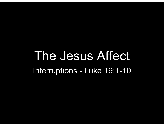# The Jesus Affect The Jesus Affect<br>Interruptions - Luke 19:1-10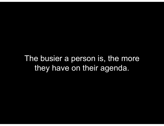The busier a person is, the more they have on their agenda.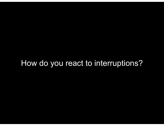#### How do you react to interruptions?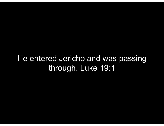#### He entered Jericho and was passing through. Luke 19:1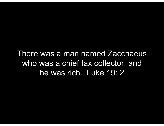There was a man named Zacchaeus who was a chief tax collector, and he was rich. Luke 19: 2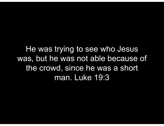He was trying to see who Jesus was, but he was not able because of the crowd, since he was a short man. Luke 19:3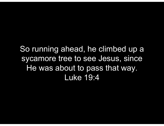So running ahead, he climbed up a sycamore tree to see Jesus, since He was about to pass that way. Luke 19:4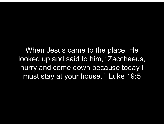When Jesus came to the place, He looked up and said to him, "Zacchaeus, hurry and come down because today I must stay at your house." Luke 19:5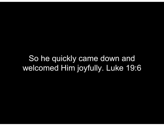So he quickly came down and welcomed Him joyfully. Luke 19:6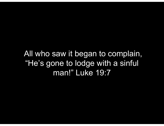All who saw it began to complain, "He's gone to lodge with a sinful man!" Luke 19:7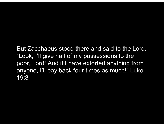But Zacchaeus stood there and said to the Lord, "Look, I'll give half of my possessions to the poor, Lord! And if I have extorted anything from anyone, I'll pay back four times as much!" Luke 19:8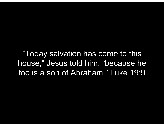"Today salvation has come to this house," Jesus told him, "because he too is a son of Abraham." Luke 19:9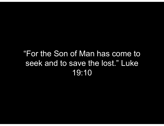#### "For the Son of Man has come to seek and to save the lost." Luke 19:10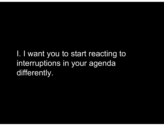I. I want you to start reacting to interruptions in your agenda differently.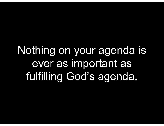Nothing on your agenda is ever as important as fulfilling God's agenda.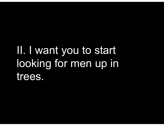## II. I want you to start looking for men up in trees.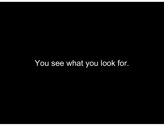#### You see what you look for.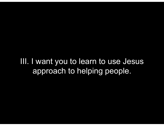III. I want you to learn to use Jesus approach to helping people.